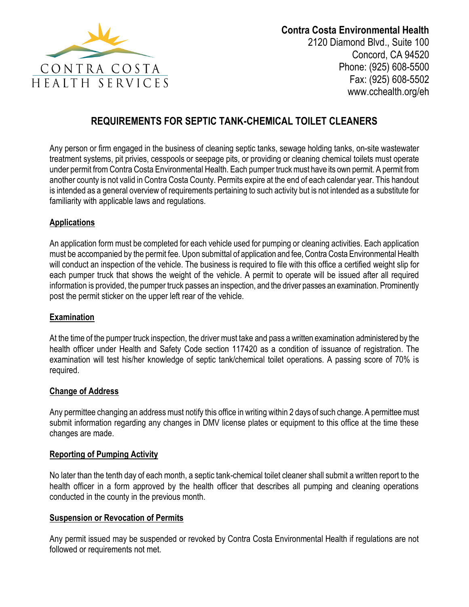

# **REQUIREMENTS FOR SEPTIC TANK-CHEMICAL TOILET CLEANERS**

Any person or firm engaged in the business of cleaning septic tanks, sewage holding tanks, on-site wastewater treatment systems, pit privies, cesspools or seepage pits, or providing or cleaning chemical toilets must operate under permit from Contra Costa Environmental Health. Each pumper truck must have its own permit. A permit from another county is not valid in Contra Costa County. Permits expire at the end of each calendar year. This handout is intended as a general overview of requirements pertaining to such activity but is not intended as a substitute for familiarity with applicable laws and regulations.

#### **Applications**

An application form must be completed for each vehicle used for pumping or cleaning activities. Each application must be accompanied by the permit fee. Upon submittal of application and fee, Contra Costa Environmental Health will conduct an inspection of the vehicle. The business is required to file with this office a certified weight slip for each pumper truck that shows the weight of the vehicle. A permit to operate will be issued after all required information is provided, the pumper truck passes an inspection, and the driver passes an examination. Prominently post the permit sticker on the upper left rear of the vehicle.

#### **Examination**

At the time of the pumper truck inspection, the driver must take and pass a written examination administered by the health officer under Health and Safety Code section 117420 as a condition of issuance of registration. The examination will test his/her knowledge of septic tank/chemical toilet operations. A passing score of 70% is required.

## **Change of Address**

Any permittee changing an address must notify this office in writing within 2 days of such change. A permittee must submit information regarding any changes in DMV license plates or equipment to this office at the time these changes are made.

#### **Reporting of Pumping Activity**

No later than the tenth day of each month, a septic tank-chemical toilet cleaner shall submit a written report to the health officer in a form approved by the health officer that describes all pumping and cleaning operations conducted in the county in the previous month.

#### **Suspension or Revocation of Permits**

Any permit issued may be suspended or revoked by Contra Costa Environmental Health if regulations are not followed or requirements not met.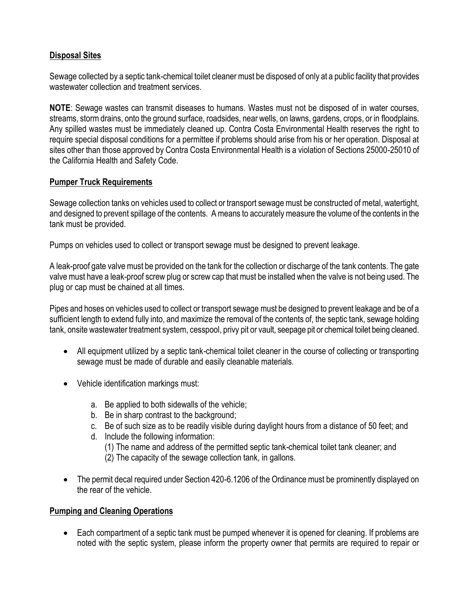## **Disposal Sites**

Sewage collected by a septic tank-chemical toilet cleaner must be disposed of only at a public facility that provides wastewater collection and treatment services.

**NOTE**: Sewage wastes can transmit diseases to humans. Wastes must not be disposed of in water courses, streams, storm drains, onto the ground surface, roadsides, near wells, on lawns, gardens, crops, or in floodplains. Any spilled wastes must be immediately cleaned up. Contra Costa Environmental Health reserves the right to require special disposal conditions for a permittee if problems should arise from his or her operation. Disposal at sites other than those approved by Contra Costa Environmental Health is a violation of Sections 25000-25010 of the California Health and Safety Code.

## **Pumper Truck Requirements**

Sewage collection tanks on vehicles used to collect or transport sewage must be constructed of metal, watertight, and designed to prevent spillage of the contents. A means to accurately measure the volume of the contents in the tank must be provided.

Pumps on vehicles used to collect or transport sewage must be designed to prevent leakage.

A leak-proof gate valve must be provided on the tank for the collection or discharge of the tank contents. The gate valve must have a leak-proof screw plug or screw cap that must be installed when the valve is not being used. The plug or cap must be chained at all times.

Pipes and hoses on vehicles used to collect or transport sewage must be designed to prevent leakage and be of a sufficient length to extend fully into, and maximize the removal of the contents of, the septic tank, sewage holding tank, onsite wastewater treatment system, cesspool, privy pit or vault, seepage pit or chemical toilet being cleaned.

- All equipment utilized by a septic tank-chemical toilet cleaner in the course of collecting or transporting sewage must be made of durable and easily cleanable materials.
- Vehicle identification markings must:
	- a. Be applied to both sidewalls of the vehicle;
	- b. Be in sharp contrast to the background;
	- c. Be of such size as to be readily visible during daylight hours from a distance of 50 feet; and
	- d. Include the following information:
		- (1) The name and address of the permitted septic tank-chemical toilet tank cleaner; and
		- (2) The capacity of the sewage collection tank, in gallons.
- The permit decal required under Section 420-6.1206 of the Ordinance must be prominently displayed on the rear of the vehicle.

## **Pumping and Cleaning Operations**

• Each compartment of a septic tank must be pumped whenever it is opened for cleaning. If problems are noted with the septic system, please inform the property owner that permits are required to repair or